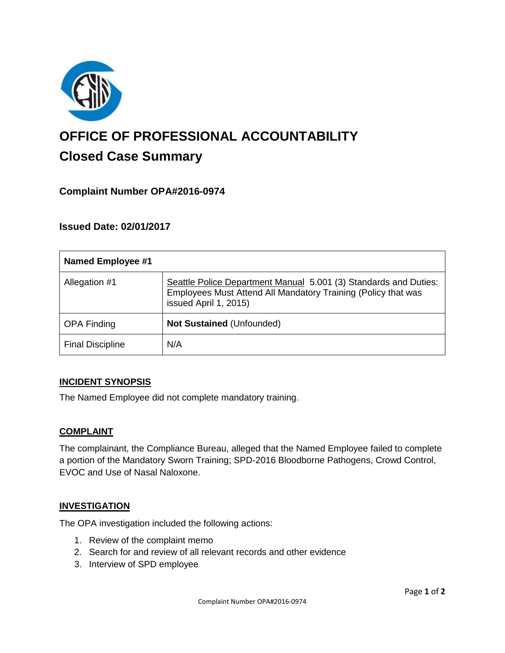

# **OFFICE OF PROFESSIONAL ACCOUNTABILITY Closed Case Summary**

# **Complaint Number OPA#2016-0974**

## **Issued Date: 02/01/2017**

| <b>Named Employee #1</b> |                                                                                                                                                            |
|--------------------------|------------------------------------------------------------------------------------------------------------------------------------------------------------|
| Allegation #1            | Seattle Police Department Manual 5.001 (3) Standards and Duties:<br>Employees Must Attend All Mandatory Training (Policy that was<br>issued April 1, 2015) |
| <b>OPA Finding</b>       | Not Sustained (Unfounded)                                                                                                                                  |
| <b>Final Discipline</b>  | N/A                                                                                                                                                        |

#### **INCIDENT SYNOPSIS**

The Named Employee did not complete mandatory training.

#### **COMPLAINT**

The complainant, the Compliance Bureau, alleged that the Named Employee failed to complete a portion of the Mandatory Sworn Training; SPD-2016 Bloodborne Pathogens, Crowd Control, EVOC and Use of Nasal Naloxone.

#### **INVESTIGATION**

The OPA investigation included the following actions:

- 1. Review of the complaint memo
- 2. Search for and review of all relevant records and other evidence
- 3. Interview of SPD employee